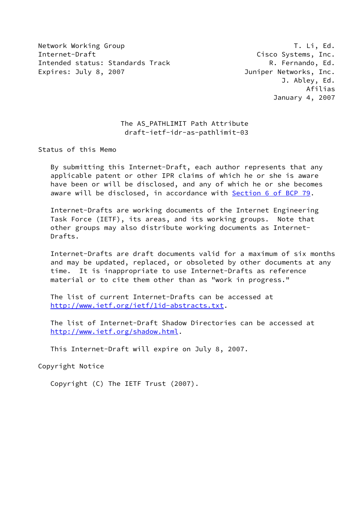Network Working Group T. Li, Ed. Internet-Draft Cisco Systems, Inc. Intended status: Standards Track and R. Fernando, Ed. Expires: July 8, 2007 **Immediate State State State State State State State State State State State State State** 

# The AS PATHLIMIT Path Attribute draft-ietf-idr-as-pathlimit-03

Status of this Memo

 By submitting this Internet-Draft, each author represents that any applicable patent or other IPR claims of which he or she is aware have been or will be disclosed, and any of which he or she becomes aware will be disclosed, in accordance with Section [6 of BCP 79.](https://datatracker.ietf.org/doc/pdf/bcp79#section-6)

 Internet-Drafts are working documents of the Internet Engineering Task Force (IETF), its areas, and its working groups. Note that other groups may also distribute working documents as Internet- Drafts.

 Internet-Drafts are draft documents valid for a maximum of six months and may be updated, replaced, or obsoleted by other documents at any time. It is inappropriate to use Internet-Drafts as reference material or to cite them other than as "work in progress."

 The list of current Internet-Drafts can be accessed at <http://www.ietf.org/ietf/1id-abstracts.txt>.

 The list of Internet-Draft Shadow Directories can be accessed at <http://www.ietf.org/shadow.html>.

This Internet-Draft will expire on July 8, 2007.

Copyright Notice

Copyright (C) The IETF Trust (2007).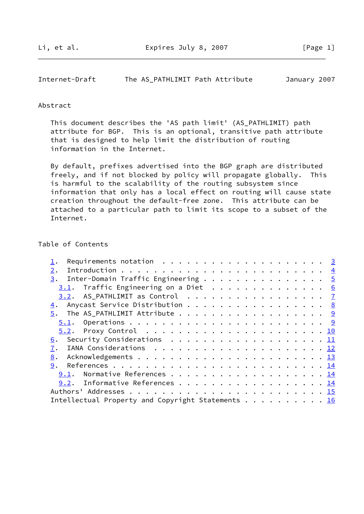# Internet-Draft The AS\_PATHLIMIT Path Attribute January 2007

#### Abstract

 This document describes the 'AS path limit' (AS\_PATHLIMIT) path attribute for BGP. This is an optional, transitive path attribute that is designed to help limit the distribution of routing information in the Internet.

 By default, prefixes advertised into the BGP graph are distributed freely, and if not blocked by policy will propagate globally. This is harmful to the scalability of the routing subsystem since information that only has a local effect on routing will cause state creation throughout the default-free zone. This attribute can be attached to a particular path to limit its scope to a subset of the Internet.

### Table of Contents

| Requirements notation $\ldots$ 3                     |  |
|------------------------------------------------------|--|
| 2.                                                   |  |
| $\underline{3}$ . Inter-Domain Traffic Engineering 5 |  |
| $3.1$ . Traffic Engineering on a Diet 6              |  |
| 3.2. AS_PATHLIMIT as Control $\ldots$ 7              |  |
| 4. Anycast Service Distribution 8                    |  |
|                                                      |  |
|                                                      |  |
|                                                      |  |
| 6. Security Considerations 11                        |  |
|                                                      |  |
| 8.                                                   |  |
| 9.                                                   |  |
| 9.1. Normative References 14                         |  |
| 9.2. Informative References 14                       |  |
|                                                      |  |
| Intellectual Property and Copyright Statements 16    |  |
|                                                      |  |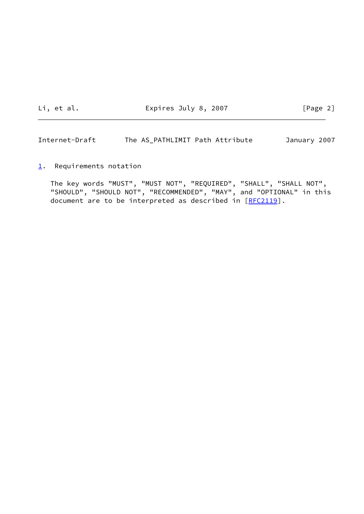Li, et al. **Expires July 8, 2007** [Page 2]

<span id="page-2-1"></span>Internet-Draft The AS\_PATHLIMIT Path Attribute January 2007

<span id="page-2-0"></span> $1.$  $1.$  Requirements notation

 The key words "MUST", "MUST NOT", "REQUIRED", "SHALL", "SHALL NOT", "SHOULD", "SHOULD NOT", "RECOMMENDED", "MAY", and "OPTIONAL" in this document are to be interpreted as described in [\[RFC2119](https://datatracker.ietf.org/doc/pdf/rfc2119)].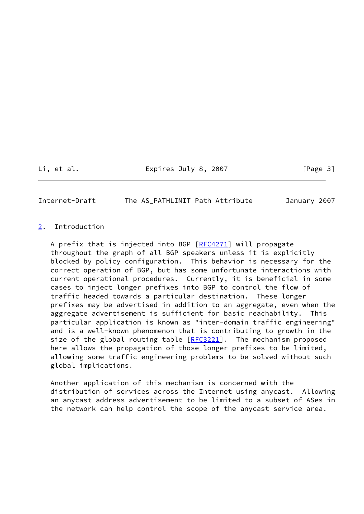# Li, et al. Expires July 8, 2007 [Page 3]

<span id="page-3-1"></span>Internet-Draft The AS\_PATHLIMIT Path Attribute January 2007

### <span id="page-3-0"></span>[2](#page-3-0). Introduction

A prefix that is injected into BGP  $[RFC4271]$  $[RFC4271]$  will propagate throughout the graph of all BGP speakers unless it is explicitly blocked by policy configuration. This behavior is necessary for the correct operation of BGP, but has some unfortunate interactions with current operational procedures. Currently, it is beneficial in some cases to inject longer prefixes into BGP to control the flow of traffic headed towards a particular destination. These longer prefixes may be advertised in addition to an aggregate, even when the aggregate advertisement is sufficient for basic reachability. This particular application is known as "inter-domain traffic engineering" and is a well-known phenomenon that is contributing to growth in the size of the global routing table  $[REC3221]$ . The mechanism proposed here allows the propagation of those longer prefixes to be limited, allowing some traffic engineering problems to be solved without such global implications.

 Another application of this mechanism is concerned with the distribution of services across the Internet using anycast. Allowing an anycast address advertisement to be limited to a subset of ASes in the network can help control the scope of the anycast service area.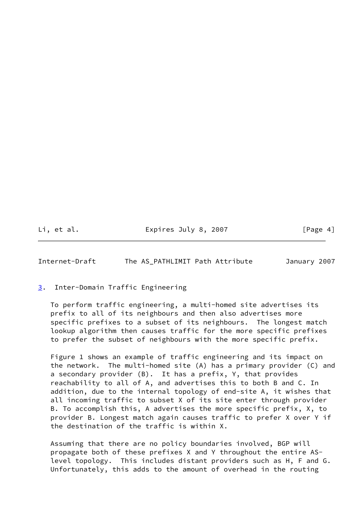Li, et al. Expires July 8, 2007 [Page 4]

<span id="page-4-1"></span>Internet-Draft The AS\_PATHLIMIT Path Attribute January 2007

<span id="page-4-0"></span>[3](#page-4-0). Inter-Domain Traffic Engineering

 To perform traffic engineering, a multi-homed site advertises its prefix to all of its neighbours and then also advertises more specific prefixes to a subset of its neighbours. The longest match lookup algorithm then causes traffic for the more specific prefixes to prefer the subset of neighbours with the more specific prefix.

 Figure 1 shows an example of traffic engineering and its impact on the network. The multi-homed site (A) has a primary provider (C) and a secondary provider (B). It has a prefix, Y, that provides reachability to all of A, and advertises this to both B and C. In addition, due to the internal topology of end-site A, it wishes that all incoming traffic to subset X of its site enter through provider B. To accomplish this, A advertises the more specific prefix, X, to provider B. Longest match again causes traffic to prefer X over Y if the destination of the traffic is within X.

 Assuming that there are no policy boundaries involved, BGP will propagate both of these prefixes X and Y throughout the entire AS level topology. This includes distant providers such as H, F and G. Unfortunately, this adds to the amount of overhead in the routing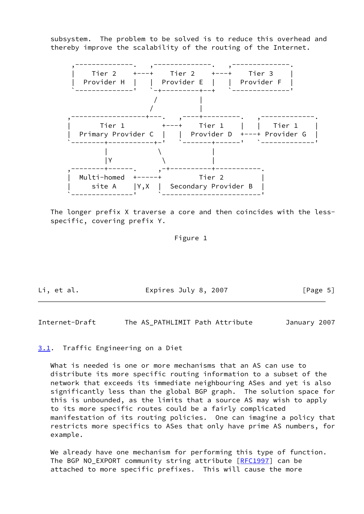subsystem. The problem to be solved is to reduce this overhead and thereby improve the scalability of the routing of the Internet.



 The longer prefix X traverse a core and then coincides with the less specific, covering prefix Y.

# Figure 1

Li, et al. The Expires July 8, 2007 [Page 5]

<span id="page-5-1"></span>Internet-Draft The AS\_PATHLIMIT Path Attribute January 2007

#### <span id="page-5-0"></span>[3.1](#page-5-0). Traffic Engineering on a Diet

 What is needed is one or more mechanisms that an AS can use to distribute its more specific routing information to a subset of the network that exceeds its immediate neighbouring ASes and yet is also significantly less than the global BGP graph. The solution space for this is unbounded, as the limits that a source AS may wish to apply to its more specific routes could be a fairly complicated manifestation of its routing policies. One can imagine a policy that restricts more specifics to ASes that only have prime AS numbers, for example.

We already have one mechanism for performing this type of function. The BGP NO\_EXPORT community string attribute [\[RFC1997](https://datatracker.ietf.org/doc/pdf/rfc1997)] can be attached to more specific prefixes. This will cause the more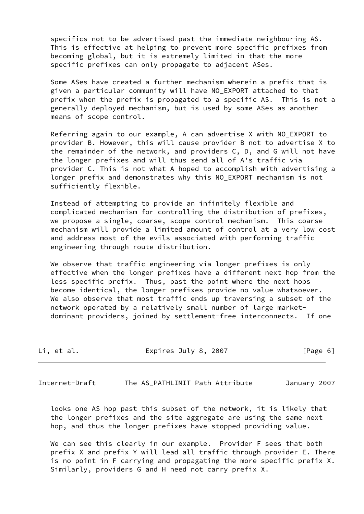specifics not to be advertised past the immediate neighbouring AS. This is effective at helping to prevent more specific prefixes from becoming global, but it is extremely limited in that the more specific prefixes can only propagate to adjacent ASes.

 Some ASes have created a further mechanism wherein a prefix that is given a particular community will have NO\_EXPORT attached to that prefix when the prefix is propagated to a specific AS. This is not a generally deployed mechanism, but is used by some ASes as another means of scope control.

 Referring again to our example, A can advertise X with NO\_EXPORT to provider B. However, this will cause provider B not to advertise X to the remainder of the network, and providers C, D, and G will not have the longer prefixes and will thus send all of A's traffic via provider C. This is not what A hoped to accomplish with advertising a longer prefix and demonstrates why this NO\_EXPORT mechanism is not sufficiently flexible.

 Instead of attempting to provide an infinitely flexible and complicated mechanism for controlling the distribution of prefixes, we propose a single, coarse, scope control mechanism. This coarse mechanism will provide a limited amount of control at a very low cost and address most of the evils associated with performing traffic engineering through route distribution.

We observe that traffic engineering via longer prefixes is only effective when the longer prefixes have a different next hop from the less specific prefix. Thus, past the point where the next hops become identical, the longer prefixes provide no value whatsoever. We also observe that most traffic ends up traversing a subset of the network operated by a relatively small number of large market dominant providers, joined by settlement-free interconnects. If one

| Li, et al. | Expires July 8, 2007 | [Page 6] |
|------------|----------------------|----------|
|------------|----------------------|----------|

<span id="page-6-0"></span>Internet-Draft The AS\_PATHLIMIT Path Attribute January 2007

 looks one AS hop past this subset of the network, it is likely that the longer prefixes and the site aggregate are using the same next hop, and thus the longer prefixes have stopped providing value.

We can see this clearly in our example. Provider F sees that both prefix X and prefix Y will lead all traffic through provider E. There is no point in F carrying and propagating the more specific prefix X. Similarly, providers G and H need not carry prefix X.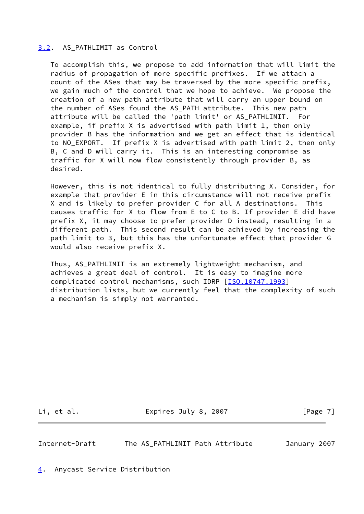## <span id="page-7-0"></span>[3.2](#page-7-0). AS\_PATHLIMIT as Control

 To accomplish this, we propose to add information that will limit the radius of propagation of more specific prefixes. If we attach a count of the ASes that may be traversed by the more specific prefix, we gain much of the control that we hope to achieve. We propose the creation of a new path attribute that will carry an upper bound on the number of ASes found the AS\_PATH attribute. This new path attribute will be called the 'path limit' or AS\_PATHLIMIT. For example, if prefix X is advertised with path limit 1, then only provider B has the information and we get an effect that is identical to NO\_EXPORT. If prefix X is advertised with path limit 2, then only B, C and D will carry it. This is an interesting compromise as traffic for X will now flow consistently through provider B, as desired.

 However, this is not identical to fully distributing X. Consider, for example that provider E in this circumstance will not receive prefix X and is likely to prefer provider C for all A destinations. This causes traffic for X to flow from E to C to B. If provider E did have prefix X, it may choose to prefer provider D instead, resulting in a different path. This second result can be achieved by increasing the path limit to 3, but this has the unfortunate effect that provider G would also receive prefix X.

 Thus, AS\_PATHLIMIT is an extremely lightweight mechanism, and achieves a great deal of control. It is easy to imagine more complicated control mechanisms, such IDRP [[ISO.10747.1993](#page-15-2)] distribution lists, but we currently feel that the complexity of such a mechanism is simply not warranted.

Li, et al. Changel Expires July 8, 2007 [Page 7]

<span id="page-7-2"></span>Internet-Draft The AS\_PATHLIMIT Path Attribute January 2007

<span id="page-7-1"></span>[4](#page-7-1). Anycast Service Distribution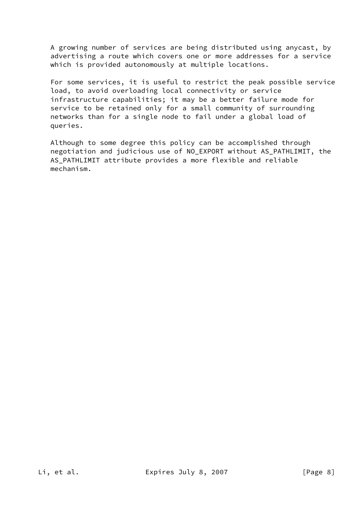A growing number of services are being distributed using anycast, by advertising a route which covers one or more addresses for a service which is provided autonomously at multiple locations.

 For some services, it is useful to restrict the peak possible service load, to avoid overloading local connectivity or service infrastructure capabilities; it may be a better failure mode for service to be retained only for a small community of surrounding networks than for a single node to fail under a global load of queries.

 Although to some degree this policy can be accomplished through negotiation and judicious use of NO\_EXPORT without AS\_PATHLIMIT, the AS\_PATHLIMIT attribute provides a more flexible and reliable mechanism.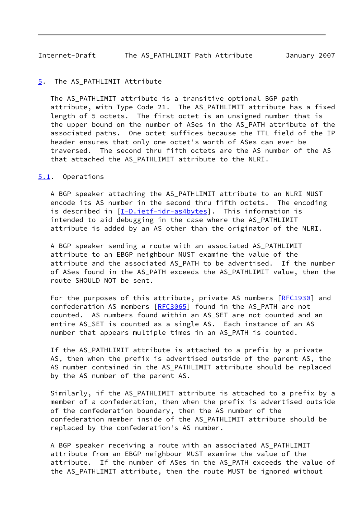#### <span id="page-9-1"></span><span id="page-9-0"></span>[5](#page-9-0). The AS\_PATHLIMIT Attribute

The AS PATHLIMIT attribute is a transitive optional BGP path attribute, with Type Code 21. The AS\_PATHLIMIT attribute has a fixed length of 5 octets. The first octet is an unsigned number that is the upper bound on the number of ASes in the AS\_PATH attribute of the associated paths. One octet suffices because the TTL field of the IP header ensures that only one octet's worth of ASes can ever be traversed. The second thru fifth octets are the AS number of the AS that attached the AS\_PATHLIMIT attribute to the NLRI.

#### <span id="page-9-2"></span>[5.1](#page-9-2). Operations

A BGP speaker attaching the AS PATHLIMIT attribute to an NLRI MUST encode its AS number in the second thru fifth octets. The encoding is described in [\[I-D.ietf-idr-as4bytes](#page-14-3)]. This information is intended to aid debugging in the case where the AS\_PATHLIMIT attribute is added by an AS other than the originator of the NLRI.

 A BGP speaker sending a route with an associated AS\_PATHLIMIT attribute to an EBGP neighbour MUST examine the value of the attribute and the associated AS PATH to be advertised. If the number of ASes found in the AS\_PATH exceeds the AS\_PATHLIMIT value, then the route SHOULD NOT be sent.

For the purposes of this attribute, private AS numbers [\[RFC1930](https://datatracker.ietf.org/doc/pdf/rfc1930)] and confederation AS members [\[RFC3065](https://datatracker.ietf.org/doc/pdf/rfc3065)] found in the AS\_PATH are not counted. AS numbers found within an AS\_SET are not counted and an entire AS\_SET is counted as a single AS. Each instance of an AS number that appears multiple times in an AS\_PATH is counted.

 If the AS\_PATHLIMIT attribute is attached to a prefix by a private AS, then when the prefix is advertised outside of the parent AS, the AS number contained in the AS\_PATHLIMIT attribute should be replaced by the AS number of the parent AS.

 Similarly, if the AS\_PATHLIMIT attribute is attached to a prefix by a member of a confederation, then when the prefix is advertised outside of the confederation boundary, then the AS number of the confederation member inside of the AS\_PATHLIMIT attribute should be replaced by the confederation's AS number.

A BGP speaker receiving a route with an associated AS PATHLIMIT attribute from an EBGP neighbour MUST examine the value of the attribute. If the number of ASes in the AS\_PATH exceeds the value of the AS\_PATHLIMIT attribute, then the route MUST be ignored without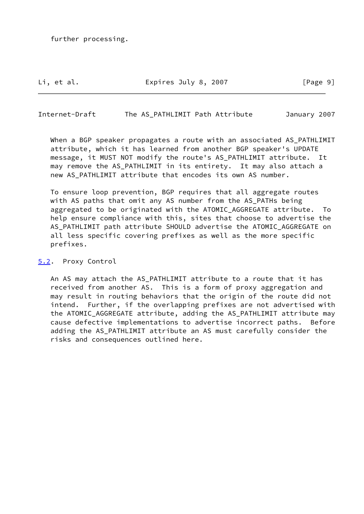further processing.

Li, et al. The Expires July 8, 2007 The Rage 91

<span id="page-10-1"></span>Internet-Draft The AS\_PATHLIMIT Path Attribute January 2007

 When a BGP speaker propagates a route with an associated AS\_PATHLIMIT attribute, which it has learned from another BGP speaker's UPDATE message, it MUST NOT modify the route's AS\_PATHLIMIT attribute. It may remove the AS\_PATHLIMIT in its entirety. It may also attach a new AS PATHLIMIT attribute that encodes its own AS number.

 To ensure loop prevention, BGP requires that all aggregate routes with AS paths that omit any AS number from the AS PATHs being aggregated to be originated with the ATOMIC\_AGGREGATE attribute. To help ensure compliance with this, sites that choose to advertise the AS\_PATHLIMIT path attribute SHOULD advertise the ATOMIC\_AGGREGATE on all less specific covering prefixes as well as the more specific prefixes.

<span id="page-10-0"></span>[5.2](#page-10-0). Proxy Control

 An AS may attach the AS\_PATHLIMIT attribute to a route that it has received from another AS. This is a form of proxy aggregation and may result in routing behaviors that the origin of the route did not intend. Further, if the overlapping prefixes are not advertised with the ATOMIC\_AGGREGATE attribute, adding the AS\_PATHLIMIT attribute may cause defective implementations to advertise incorrect paths. Before adding the AS\_PATHLIMIT attribute an AS must carefully consider the risks and consequences outlined here.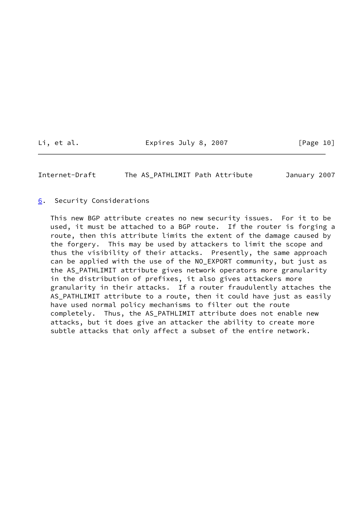Li, et al. Expires July 8, 2007 [Page 10]

<span id="page-11-1"></span>Internet-Draft The AS\_PATHLIMIT Path Attribute January 2007

<span id="page-11-0"></span>[6](#page-11-0). Security Considerations

 This new BGP attribute creates no new security issues. For it to be used, it must be attached to a BGP route. If the router is forging a route, then this attribute limits the extent of the damage caused by the forgery. This may be used by attackers to limit the scope and thus the visibility of their attacks. Presently, the same approach can be applied with the use of the NO\_EXPORT community, but just as the AS\_PATHLIMIT attribute gives network operators more granularity in the distribution of prefixes, it also gives attackers more granularity in their attacks. If a router fraudulently attaches the AS\_PATHLIMIT attribute to a route, then it could have just as easily have used normal policy mechanisms to filter out the route completely. Thus, the AS\_PATHLIMIT attribute does not enable new attacks, but it does give an attacker the ability to create more subtle attacks that only affect a subset of the entire network.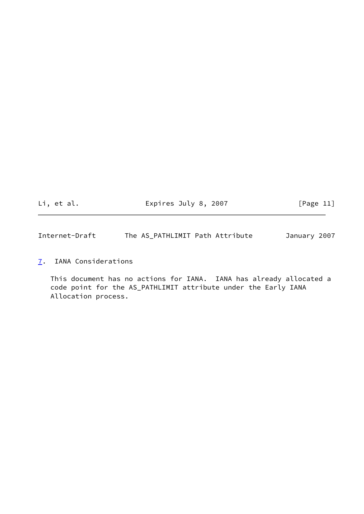Li, et al. 
Expires July 8, 2007

Li, et al.

<span id="page-12-1"></span>Internet-Draft The AS\_PATHLIMIT Path Attribute January 2007

<span id="page-12-0"></span>[7](#page-12-0). IANA Considerations

 This document has no actions for IANA. IANA has already allocated a code point for the AS\_PATHLIMIT attribute under the Early IANA Allocation process.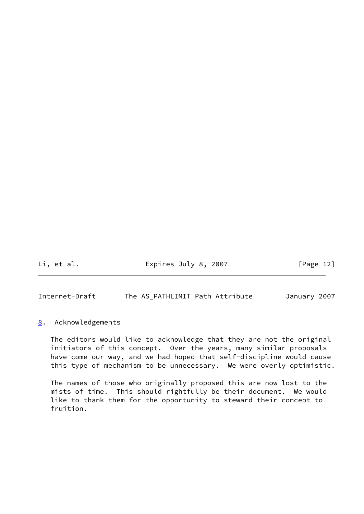Li, et al. Expires July 8, 2007 [Page 12]

<span id="page-13-1"></span>Internet-Draft The AS\_PATHLIMIT Path Attribute January 2007

# <span id="page-13-0"></span>[8](#page-13-0). Acknowledgements

 The editors would like to acknowledge that they are not the original initiators of this concept. Over the years, many similar proposals have come our way, and we had hoped that self-discipline would cause this type of mechanism to be unnecessary. We were overly optimistic.

 The names of those who originally proposed this are now lost to the mists of time. This should rightfully be their document. We would like to thank them for the opportunity to steward their concept to fruition.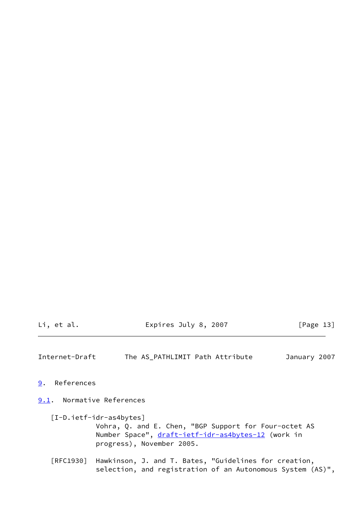Li, et al. Expires July 8, 2007 [Page 13]

<span id="page-14-1"></span>Internet-Draft The AS\_PATHLIMIT Path Attribute January 2007

<span id="page-14-0"></span>[9](#page-14-0). References

<span id="page-14-2"></span>[9.1](#page-14-2). Normative References

<span id="page-14-3"></span> [I-D.ietf-idr-as4bytes] Vohra, Q. and E. Chen, "BGP Support for Four-octet AS Number Space", [draft-ietf-idr-as4bytes-12](https://datatracker.ietf.org/doc/pdf/draft-ietf-idr-as4bytes-12) (work in progress), November 2005.

 [RFC1930] Hawkinson, J. and T. Bates, "Guidelines for creation, selection, and registration of an Autonomous System (AS)",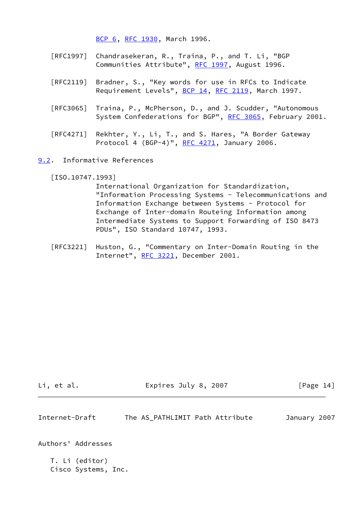[BCP 6,](https://datatracker.ietf.org/doc/pdf/bcp6) [RFC 1930](https://datatracker.ietf.org/doc/pdf/rfc1930), March 1996.

- [RFC1997] Chandrasekeran, R., Traina, P., and T. Li, "BGP Communities Attribute", [RFC 1997,](https://datatracker.ietf.org/doc/pdf/rfc1997) August 1996.
- [RFC2119] Bradner, S., "Key words for use in RFCs to Indicate Requirement Levels", [BCP 14](https://datatracker.ietf.org/doc/pdf/bcp14), [RFC 2119](https://datatracker.ietf.org/doc/pdf/rfc2119), March 1997.
- [RFC3065] Traina, P., McPherson, D., and J. Scudder, "Autonomous System Confederations for BGP", [RFC 3065,](https://datatracker.ietf.org/doc/pdf/rfc3065) February 2001.
- [RFC4271] Rekhter, Y., Li, T., and S. Hares, "A Border Gateway Protocol 4 (BGP-4)", [RFC 4271](https://datatracker.ietf.org/doc/pdf/rfc4271), January 2006.
- <span id="page-15-0"></span>[9.2](#page-15-0). Informative References

<span id="page-15-2"></span>[ISO.10747.1993]

 International Organization for Standardization, "Information Processing Systems - Telecommunications and Information Exchange between Systems - Protocol for Exchange of Inter-domain Routeing Information among Intermediate Systems to Support Forwarding of ISO 8473 PDUs", ISO Standard 10747, 1993.

 [RFC3221] Huston, G., "Commentary on Inter-Domain Routing in the Internet", [RFC 3221](https://datatracker.ietf.org/doc/pdf/rfc3221), December 2001.

Li, et al. Expires July 8, 2007 [Page 14]

<span id="page-15-1"></span>

| Internet-Draft |  |  |  | The AS PATHLIMIT Path Attribute | January 2007 |  |
|----------------|--|--|--|---------------------------------|--------------|--|
|----------------|--|--|--|---------------------------------|--------------|--|

Authors' Addresses

 T. Li (editor) Cisco Systems, Inc.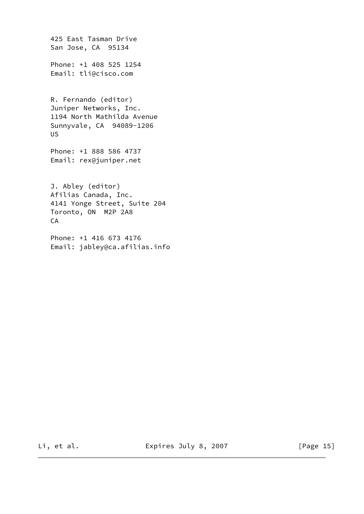425 East Tasman Drive San Jose, CA 95134 Phone: +1 408 525 1254 Email: tli@cisco.com R. Fernando (editor) Juniper Networks, Inc. 1194 North Mathilda Avenue Sunnyvale, CA 94089-1206 US Phone: +1 888 586 4737 Email: rex@juniper.net J. Abley (editor) Afilias Canada, Inc. 4141 Yonge Street, Suite 204 Toronto, ON M2P 2A8 CA Phone: +1 416 673 4176

Email: jabley@ca.afilias.info

Li, et al. Expires July 8, 2007 [Page 15]